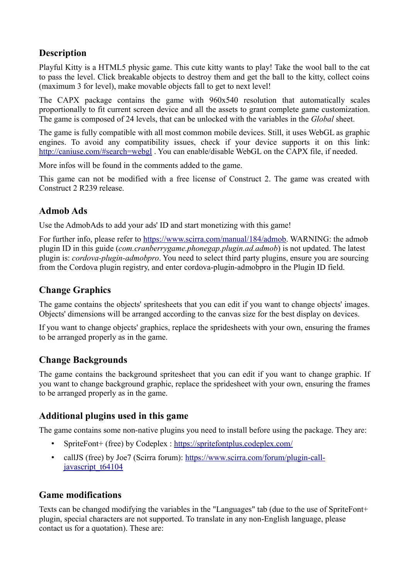# **Description**

Playful Kitty is a HTML5 physic game. This cute kitty wants to play! Take the wool ball to the cat to pass the level. Click breakable objects to destroy them and get the ball to the kitty, collect coins (maximum 3 for level), make movable objects fall to get to next level!

The CAPX package contains the game with 960x540 resolution that automatically scales proportionally to fit current screen device and all the assets to grant complete game customization. The game is composed of 24 levels, that can be unlocked with the variables in the *Global* sheet.

The game is fully compatible with all most common mobile devices. Still, it uses WebGL as graphic engines. To avoid any compatibility issues, check if your device supports it on this link: http://caniuse.com/#search=webgl. You can enable/disable WebGL on the CAPX file, if needed.

More infos will be found in the comments added to the game.

This game can not be modified with a free license of Construct 2. The game was created with Construct 2 R239 release.

#### **Admob Ads**

Use the AdmobAds to add your ads' ID and start monetizing with this game!

For further info, please refer to [https://www.scirra.com/manual/184/admob.](https://www.scirra.com/manual/184/admob) WARNING: the admob plugin ID in this guide (*com.cranberrygame.phonegap.plugin.ad.admob*) is not updated. The latest plugin is: *cordova-plugin-admobpro*. You need to select third party plugins, ensure you are sourcing from the Cordova plugin registry, and enter cordova-plugin-admobpro in the Plugin ID field.

## **Change Graphics**

The game contains the objects' spritesheets that you can edit if you want to change objects' images. Objects' dimensions will be arranged according to the canvas size for the best display on devices.

If you want to change objects' graphics, replace the spridesheets with your own, ensuring the frames to be arranged properly as in the game.

#### **Change Backgrounds**

The game contains the background spritesheet that you can edit if you want to change graphic. If you want to change background graphic, replace the spridesheet with your own, ensuring the frames to be arranged properly as in the game.

## **Additional plugins used in this game**

The game contains some non-native plugins you need to install before using the package. They are:

- SpriteFont+ (free) by Codeplex :<https://spritefontplus.codeplex.com/>
- callJS (free) by Joe7 (Scirra forum): [https://www.scirra.com/forum/plugin-call](https://www.scirra.com/forum/plugin-call-javascript_t64104)[javascript\\_t64104](https://www.scirra.com/forum/plugin-call-javascript_t64104)

#### **Game modifications**

Texts can be changed modifying the variables in the "Languages" tab (due to the use of SpriteFont+ plugin, special characters are not supported. To translate in any non-English language, please contact us for a quotation). These are: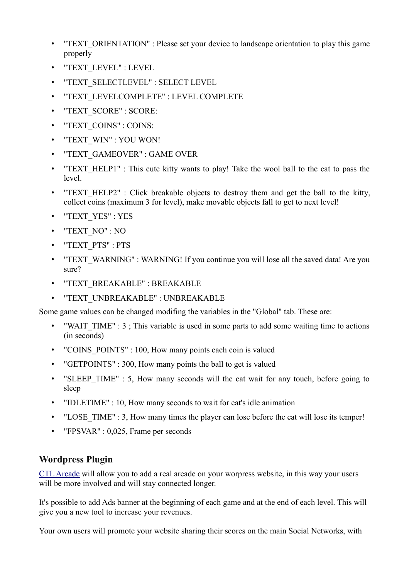- "TEXT ORIENTATION" : Please set your device to landscape orientation to play this game properly
- "TEXT\_LEVEL" : LEVEL
- "TEXT\_SELECTLEVEL" : SELECT LEVEL
- "TEXT\_LEVELCOMPLETE" : LEVEL COMPLETE
- "TEXT\_SCORE" : SCORE:
- "TEXT\_COINS" : COINS:
- "TEXT\_WIN" : YOU WON!
- "TEXT\_GAMEOVER" : GAME OVER
- "TEXT HELP1" : This cute kitty wants to play! Take the wool ball to the cat to pass the level.
- "TEXT HELP2" : Click breakable objects to destroy them and get the ball to the kitty, collect coins (maximum 3 for level), make movable objects fall to get to next level!
- "TEXT\_YES" : YES
- "TEXT\_NO" : NO
- "TEXT\_PTS" : PTS
- "TEXT\_WARNING" : WARNING! If you continue you will lose all the saved data! Are you sure?
- "TEXT\_BREAKABLE" : BREAKABLE
- "TEXT\_UNBREAKABLE" : UNBREAKABLE

Some game values can be changed modifing the variables in the "Global" tab. These are:

- "WAIT TIME" : 3; This variable is used in some parts to add some waiting time to actions (in seconds)
- "COINS POINTS" : 100, How many points each coin is valued
- "GETPOINTS": 300, How many points the ball to get is valued
- "SLEEP TIME" : 5, How many seconds will the cat wait for any touch, before going to sleep
- "IDLETIME": 10, How many seconds to wait for cat's idle animation
- "LOSE TIME" : 3, How many times the player can lose before the cat will lose its temper!
- "FPSVAR" : 0,025, Frame per seconds

## **Wordpress Plugin**

[CTL Arcade](http://codecanyon.net/item/ctl-arcade-wordpress-plugin/13856421?ref=codethislab) will allow you to add a real arcade on your worpress website, in this way your users will be more involved and will stay connected longer.

It's possible to add Ads banner at the beginning of each game and at the end of each level. This will give you a new tool to increase your revenues.

Your own users will promote your website sharing their scores on the main Social Networks, with